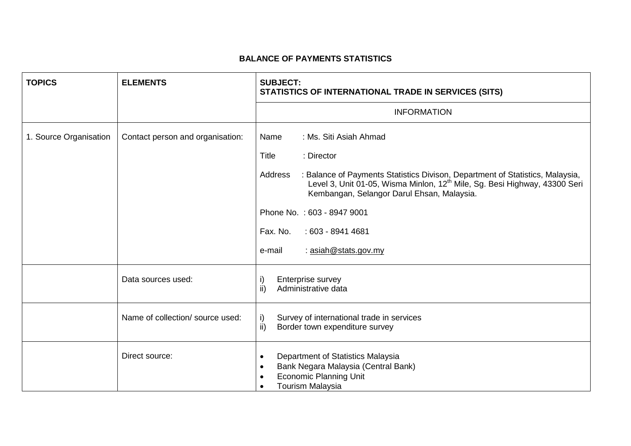## **BALANCE OF PAYMENTS STATISTICS**

| <b>TOPICS</b>          | <b>ELEMENTS</b>                  | <b>SUBJECT:</b><br>STATISTICS OF INTERNATIONAL TRADE IN SERVICES (SITS)                                                                                                                                                                                                                                                                                                                    |
|------------------------|----------------------------------|--------------------------------------------------------------------------------------------------------------------------------------------------------------------------------------------------------------------------------------------------------------------------------------------------------------------------------------------------------------------------------------------|
|                        |                                  | <b>INFORMATION</b>                                                                                                                                                                                                                                                                                                                                                                         |
| 1. Source Organisation | Contact person and organisation: | : Ms. Siti Asiah Ahmad<br>Name<br>Title<br>: Director<br>: Balance of Payments Statistics Divison, Department of Statistics, Malaysia,<br>Address<br>Level 3, Unit 01-05, Wisma Minlon, 12 <sup>th</sup> Mile, Sg. Besi Highway, 43300 Seri<br>Kembangan, Selangor Darul Ehsan, Malaysia.<br>Phone No.: 603 - 8947 9001<br>: 603 - 8941 4681<br>Fax. No.<br>: asiah@stats.gov.my<br>e-mail |
|                        | Data sources used:               | Enterprise survey<br>i)<br>$\overline{ii}$<br>Administrative data                                                                                                                                                                                                                                                                                                                          |
|                        | Name of collection/ source used: | Survey of international trade in services<br>i)<br>ii)<br>Border town expenditure survey                                                                                                                                                                                                                                                                                                   |
|                        | Direct source:                   | Department of Statistics Malaysia<br>$\bullet$<br>Bank Negara Malaysia (Central Bank)<br>$\bullet$<br><b>Economic Planning Unit</b><br>$\bullet$<br><b>Tourism Malaysia</b>                                                                                                                                                                                                                |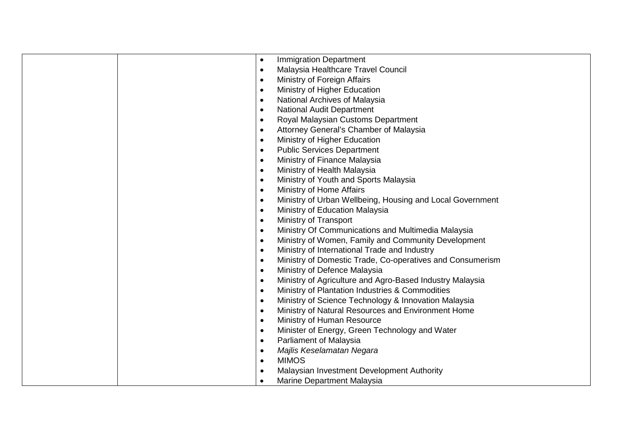| <b>Immigration Department</b><br>$\bullet$                             |
|------------------------------------------------------------------------|
| Malaysia Healthcare Travel Council<br>$\bullet$                        |
| Ministry of Foreign Affairs<br>$\bullet$                               |
| Ministry of Higher Education<br>$\bullet$                              |
| National Archives of Malaysia<br>$\bullet$                             |
| <b>National Audit Department</b><br>$\bullet$                          |
| Royal Malaysian Customs Department<br>$\bullet$                        |
| Attorney General's Chamber of Malaysia<br>$\bullet$                    |
| Ministry of Higher Education<br>$\bullet$                              |
| <b>Public Services Department</b><br>$\bullet$                         |
| Ministry of Finance Malaysia<br>$\bullet$                              |
| Ministry of Health Malaysia<br>$\bullet$                               |
| Ministry of Youth and Sports Malaysia<br>$\bullet$                     |
| Ministry of Home Affairs<br>$\bullet$                                  |
| Ministry of Urban Wellbeing, Housing and Local Government<br>$\bullet$ |
| Ministry of Education Malaysia<br>$\bullet$                            |
| Ministry of Transport<br>$\bullet$                                     |
| Ministry Of Communications and Multimedia Malaysia<br>$\bullet$        |
| Ministry of Women, Family and Community Development<br>$\bullet$       |
| Ministry of International Trade and Industry<br>$\bullet$              |
| Ministry of Domestic Trade, Co-operatives and Consumerism<br>$\bullet$ |
| Ministry of Defence Malaysia<br>$\bullet$                              |
| Ministry of Agriculture and Agro-Based Industry Malaysia<br>$\bullet$  |
| Ministry of Plantation Industries & Commodities<br>$\bullet$           |
| Ministry of Science Technology & Innovation Malaysia<br>$\bullet$      |
| Ministry of Natural Resources and Environment Home<br>$\bullet$        |
| Ministry of Human Resource<br>$\bullet$                                |
| Minister of Energy, Green Technology and Water<br>$\bullet$            |
| <b>Parliament of Malaysia</b><br>$\bullet$                             |
| Majlis Keselamatan Negara<br>$\bullet$                                 |
| <b>MIMOS</b><br>$\bullet$                                              |
| Malaysian Investment Development Authority<br>$\bullet$                |
| Marine Department Malaysia<br>$\bullet$                                |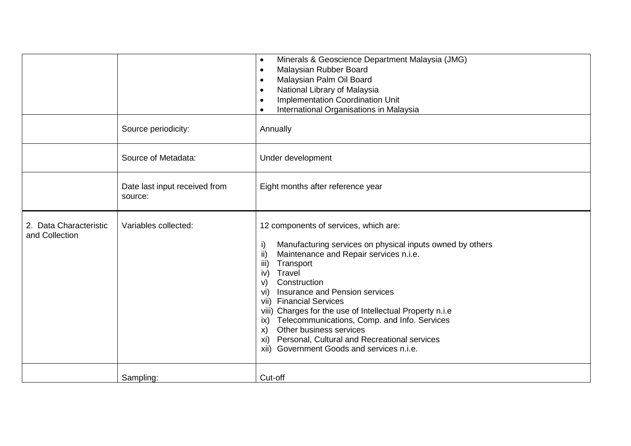|                                          |                                          | Minerals & Geoscience Department Malaysia (JMG)<br>$\bullet$<br>Malaysian Rubber Board<br>$\bullet$<br>Malaysian Palm Oil Board<br>$\bullet$<br>National Library of Malaysia<br>$\bullet$<br><b>Implementation Coordination Unit</b><br>$\bullet$<br>International Organisations in Malaysia<br>$\bullet$                                                                                                                                                                                                                                                     |
|------------------------------------------|------------------------------------------|---------------------------------------------------------------------------------------------------------------------------------------------------------------------------------------------------------------------------------------------------------------------------------------------------------------------------------------------------------------------------------------------------------------------------------------------------------------------------------------------------------------------------------------------------------------|
|                                          | Source periodicity:                      | Annually                                                                                                                                                                                                                                                                                                                                                                                                                                                                                                                                                      |
|                                          | Source of Metadata:                      | Under development                                                                                                                                                                                                                                                                                                                                                                                                                                                                                                                                             |
|                                          | Date last input received from<br>source: | Eight months after reference year                                                                                                                                                                                                                                                                                                                                                                                                                                                                                                                             |
| 2. Data Characteristic<br>and Collection | Variables collected:                     | 12 components of services, which are:<br>Manufacturing services on physical inputs owned by others<br>i)<br>ii)<br>Maintenance and Repair services n.i.e.<br>iii)<br>Transport<br>Travel<br>iv)<br>Construction<br>V)<br>Insurance and Pension services<br>vi)<br>vii) Financial Services<br>viii) Charges for the use of Intellectual Property n.i.e<br>Telecommunications, Comp. and Info. Services<br>ix)<br>Other business services<br>$\mathsf{x}$ )<br>Personal, Cultural and Recreational services<br>xi)<br>xii) Government Goods and services n.i.e. |
|                                          | Sampling:                                | Cut-off                                                                                                                                                                                                                                                                                                                                                                                                                                                                                                                                                       |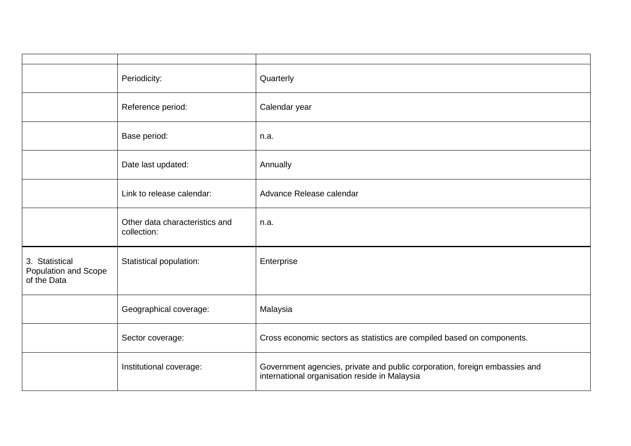|                                                       | Periodicity:                                  | Quarterly                                                                                                                   |
|-------------------------------------------------------|-----------------------------------------------|-----------------------------------------------------------------------------------------------------------------------------|
|                                                       | Reference period:                             | Calendar year                                                                                                               |
|                                                       | Base period:                                  | n.a.                                                                                                                        |
|                                                       | Date last updated:                            | Annually                                                                                                                    |
|                                                       | Link to release calendar:                     | Advance Release calendar                                                                                                    |
|                                                       | Other data characteristics and<br>collection: | n.a.                                                                                                                        |
| 3. Statistical<br>Population and Scope<br>of the Data | Statistical population:                       | Enterprise                                                                                                                  |
|                                                       | Geographical coverage:                        | Malaysia                                                                                                                    |
|                                                       | Sector coverage:                              | Cross economic sectors as statistics are compiled based on components.                                                      |
|                                                       | Institutional coverage:                       | Government agencies, private and public corporation, foreign embassies and<br>international organisation reside in Malaysia |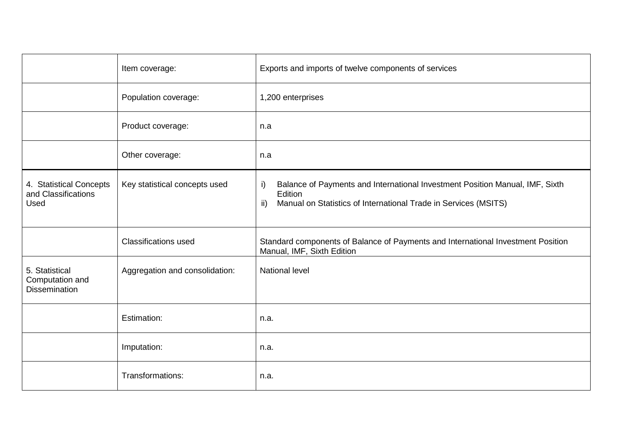|                                                           | Item coverage:                 | Exports and imports of twelve components of services                                                                                                                    |
|-----------------------------------------------------------|--------------------------------|-------------------------------------------------------------------------------------------------------------------------------------------------------------------------|
|                                                           | Population coverage:           | 1,200 enterprises                                                                                                                                                       |
|                                                           | Product coverage:              | n.a                                                                                                                                                                     |
|                                                           | Other coverage:                | n.a                                                                                                                                                                     |
| 4. Statistical Concepts<br>and Classifications<br>Used    | Key statistical concepts used  | Balance of Payments and International Investment Position Manual, IMF, Sixth<br>i)<br>Edition<br>Manual on Statistics of International Trade in Services (MSITS)<br>ii) |
|                                                           | <b>Classifications used</b>    | Standard components of Balance of Payments and International Investment Position<br>Manual, IMF, Sixth Edition                                                          |
| 5. Statistical<br>Computation and<br><b>Dissemination</b> | Aggregation and consolidation: | <b>National level</b>                                                                                                                                                   |
|                                                           | Estimation:                    | n.a.                                                                                                                                                                    |
|                                                           | Imputation:                    | n.a.                                                                                                                                                                    |
|                                                           | Transformations:               | n.a.                                                                                                                                                                    |